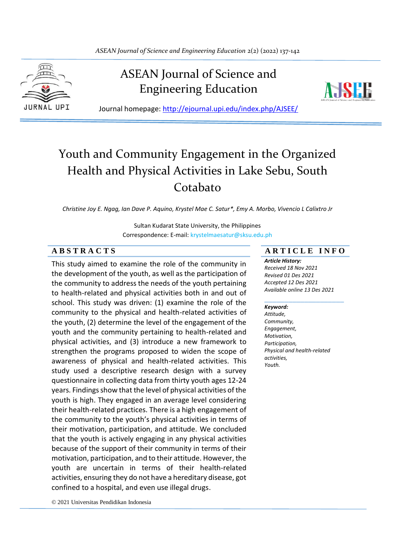

# ASEAN Journal of Science and Engineering Education



Journal homepage: http://ejournal.upi.edu/index.php/AJSEE/

# Youth and Community Engagement in the Organized Health and Physical Activities in Lake Sebu, South Cotabato

*Christine Joy E. Ngag, Ian Dave P. Aquino, Krystel Mae C. Satur\*, Emy A. Morbo, Vivencio L Calixtro Jr*

Sultan Kudarat State University, the Philippines Correspondence: E-mail: krystelmaesatur@sksu.edu.ph

This study aimed to examine the role of the community in the development of the youth, as well as the participation of the community to address the needs of the youth pertaining to health-related and physical activities both in and out of school. This study was driven: (1) examine the role of the community to the physical and health-related activities of the youth, (2) determine the level of the engagement of the youth and the community pertaining to health-related and physical activities, and (3) introduce a new framework to strengthen the programs proposed to widen the scope of awareness of physical and health-related activities. This study used a descriptive research design with a survey questionnaire in collecting data from thirty youth ages 12-24 years. Findings show that the level of physical activities of the youth is high. They engaged in an average level considering their health-related practices. There is a high engagement of the community to the youth's physical activities in terms of their motivation, participation, and attitude. We concluded that the youth is actively engaging in any physical activities because of the support of their community in terms of their motivation, participation, and to their attitude. However, the youth are uncertain in terms of their health-related activities, ensuring they do not have a hereditary disease, got confined to a hospital, and even use illegal drugs.

# **A B S T R A C T S A R T I C L E I N F O**

*Article History: Received 18 Nov 2021 Revised 01 Des 2021 Accepted 12 Des 2021 Available online 13 Des 2021*

\_\_\_\_\_\_\_\_\_\_\_\_\_\_\_\_\_\_\_\_

#### *Keyword:*

*Attitude, Community, Engagement, Motivation, Participation, Physical and health-related activities, Youth.*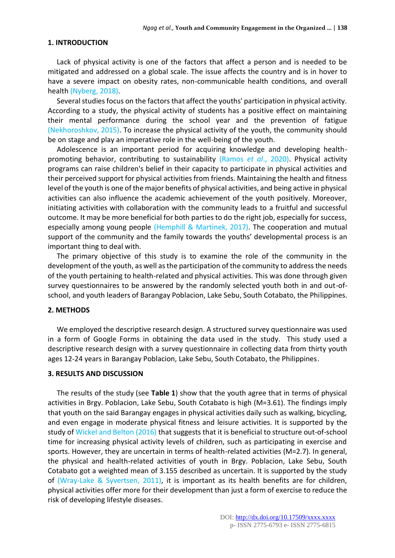### **1. INTRODUCTION**

Lack of physical activity is one of the factors that affect a person and is needed to be mitigated and addressed on a global scale. The issue affects the country and is in hover to have a severe impact on obesity rates, non-communicable health conditions, and overall health (Nyberg, 2018).

Several studies focus on the factors that affect the youths' participation in physical activity. According to a study, the physical activity of students has a positive effect on maintaining their mental performance during the school year and the prevention of fatigue (Nekhoroshkov, 2015). To increase the physical activity of the youth, the community should be on stage and play an imperative role in the well-being of the youth.

Adolescence is an important period for acquiring knowledge and developing healthpromoting behavior, contributing to sustainability (Ramos *et al*., 2020). Physical activity programs can raise children's belief in their capacity to participate in physical activities and their perceived support for physical activities from friends. Maintaining the health and fitness level of the youth is one of the major benefits of physical activities, and being active in physical activities can also influence the academic achievement of the youth positively. Moreover, initiating activities with collaboration with the community leads to a fruitful and successful outcome. It may be more beneficial for both parties to do the right job, especially for success, especially among young people (Hemphill & Martinek, 2017). The cooperation and mutual support of the community and the family towards the youths' developmental process is an important thing to deal with.

The primary objective of this study is to examine the role of the community in the development of the youth, as well as the participation of the community to address the needs of the youth pertaining to health-related and physical activities. This was done through given survey questionnaires to be answered by the randomly selected youth both in and out-ofschool, and youth leaders of Barangay Poblacion, Lake Sebu, South Cotabato, the Philippines.

#### **2. METHODS**

We employed the descriptive research design. A structured survey questionnaire was used in a form of Google Forms in obtaining the data used in the study. This study used a descriptive research design with a survey questionnaire in collecting data from thirty youth ages 12-24 years in Barangay Poblacion, Lake Sebu, South Cotabato, the Philippines.

#### **3. RESULTS AND DISCUSSION**

The results of the study (see **Table 1**) show that the youth agree that in terms of physical activities in Brgy. Poblacion, Lake Sebu, South Cotabato is high (M=3.61). The findings imply that youth on the said Barangay engages in physical activities daily such as walking, bicycling, and even engage in moderate physical fitness and leisure activities. It is supported by the study of Wickel and Belton (2016) that suggests that it is beneficial to structure out-of-school time for increasing physical activity levels of children, such as participating in exercise and sports. However, they are uncertain in terms of health-related activities (M=2.7). In general, the physical and health-related activities of youth in Brgy. Poblacion, Lake Sebu, South Cotabato got a weighted mean of 3.155 described as uncertain. It is supported by the study of (Wray-Lake & Syvertsen, 2011), it is important as its health benefits are for children, physical activities offer more for their development than just a form of exercise to reduce the risk of developing lifestyle diseases.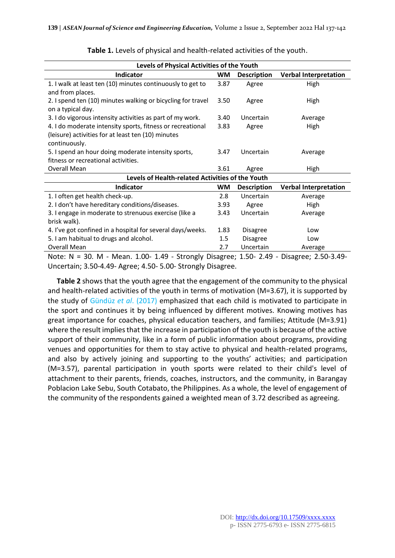| Levels of Physical Activities of the Youth                  |           |                    |                              |  |
|-------------------------------------------------------------|-----------|--------------------|------------------------------|--|
| Indicator                                                   | WМ        | <b>Description</b> | <b>Verbal Interpretation</b> |  |
| 1. I walk at least ten (10) minutes continuously to get to  | 3.87      | Agree              | High                         |  |
| and from places.                                            |           |                    |                              |  |
| 2. I spend ten (10) minutes walking or bicycling for travel | 3.50      | Agree              | High                         |  |
| on a typical day.                                           |           |                    |                              |  |
| 3. I do vigorous intensity activities as part of my work.   | 3.40      | Uncertain          | Average                      |  |
| 4. I do moderate intensity sports, fitness or recreational  | 3.83      | Agree              | High                         |  |
| (leisure) activities for at least ten (10) minutes          |           |                    |                              |  |
| continuously.                                               |           |                    |                              |  |
| 5. I spend an hour doing moderate intensity sports,         | 3.47      | Uncertain          | Average                      |  |
| fitness or recreational activities.                         |           |                    |                              |  |
| Overall Mean                                                | 3.61      | Agree              | High                         |  |
| Levels of Health-related Activities of the Youth            |           |                    |                              |  |
| Indicator                                                   | <b>WM</b> | <b>Description</b> | <b>Verbal Interpretation</b> |  |
| 1. I often get health check-up.                             | 2.8       | Uncertain          | Average                      |  |
| 2. I don't have hereditary conditions/diseases.             | 3.93      | Agree              | High                         |  |
| 3. I engage in moderate to strenuous exercise (like a       | 3.43      | Uncertain          | Average                      |  |
| brisk walk).                                                |           |                    |                              |  |
| 4. I've got confined in a hospital for several days/weeks.  | 1.83      | <b>Disagree</b>    | Low                          |  |
| 5. I am habitual to drugs and alcohol.                      | 1.5       | <b>Disagree</b>    | Low                          |  |
| Overall Mean                                                | 2.7       | Uncertain          | Average                      |  |

**Table 1.** Levels of physical and health-related activities of the youth.

Note: N = 30. M - Mean. 1.00- 1.49 - Strongly Disagree; 1.50- 2.49 - Disagree; 2.50-3.49- Uncertain; 3.50-4.49- Agree; 4.50- 5.00- Strongly Disagree.

**Table 2** shows that the youth agree that the engagement of the community to the physical and health-related activities of the youth in terms of motivation (M=3.67), it is supported by the study of Gündüz *et al*. (2017) emphasized that each child is motivated to participate in the sport and continues it by being influenced by different motives. Knowing motives has great importance for coaches, physical education teachers, and families; Attitude (M=3.91) where the result implies that the increase in participation of the youth is because of the active support of their community, like in a form of public information about programs, providing venues and opportunities for them to stay active to physical and health-related programs, and also by actively joining and supporting to the youths' activities; and participation (M=3.57), parental participation in youth sports were related to their child's level of attachment to their parents, friends, coaches, instructors, and the community, in Barangay Poblacion Lake Sebu, South Cotabato, the Philippines. As a whole, the level of engagement of the community of the respondents gained a weighted mean of 3.72 described as agreeing.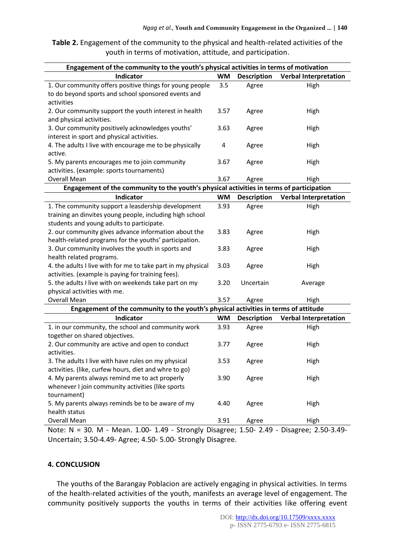**Table 2.** Engagement of the community to the physical and health-related activities of the youth in terms of motivation, attitude, and participation.

| Engagement of the community to the youth's physical activities in terms of motivation                                                                       |           |                       |                              |  |
|-------------------------------------------------------------------------------------------------------------------------------------------------------------|-----------|-----------------------|------------------------------|--|
| <b>Indicator</b>                                                                                                                                            | <b>WM</b> | <b>Description</b>    | <b>Verbal Interpretation</b> |  |
| 1. Our community offers positive things for young people<br>to do beyond sports and school sponsored events and<br>activities                               | 3.5       | Agree                 | High                         |  |
| 2. Our community support the youth interest in health<br>and physical activities.                                                                           | 3.57      | Agree                 | High                         |  |
| 3. Our community positively acknowledges youths'<br>interest in sport and physical activities.                                                              | 3.63      | Agree                 | High                         |  |
| 4. The adults I live with encourage me to be physically<br>active.                                                                                          | 4         | Agree                 | High                         |  |
| 5. My parents encourages me to join community<br>activities. (example: sports tournaments)                                                                  | 3.67      | Agree                 | High                         |  |
| Overall Mean                                                                                                                                                | 3.67      | Agree                 | High                         |  |
| Engagement of the community to the youth's physical activities in terms of participation                                                                    |           |                       |                              |  |
| <b>Indicator</b>                                                                                                                                            | <b>WM</b> | <b>Description</b>    | <b>Verbal Interpretation</b> |  |
| 1. The community support a leasdership development<br>training an dinvites young people, including high school<br>students and young adults to participate. | 3.93      | Agree                 | High                         |  |
| 2. our community gives advance information about the<br>health-related programs for the youths' participation.                                              | 3.83      | Agree                 | High                         |  |
| 3. Our community involves the youth in sports and<br>health related programs.                                                                               | 3.83      | Agree                 | High                         |  |
| 4. the adults I live with for me to take part in my physical<br>activities. (example is paying for training fees).                                          | 3.03      | Agree                 | High                         |  |
| 5. the adults I live with on weekends take part on my<br>physical activities with me.                                                                       | 3.20      | Uncertain             | Average                      |  |
| Overall Mean                                                                                                                                                | 3.57      | Agree                 | High                         |  |
| Engagement of the community to the youth's physical activities in terms of attitude                                                                         |           |                       |                              |  |
| <b>Indicator</b>                                                                                                                                            | <b>WM</b> | <b>Description</b>    | <b>Verbal Interpretation</b> |  |
| 1. in our community, the school and community work<br>together on shared objectives.                                                                        | 3.93      | Agree                 | High                         |  |
| 2. Our community are active and open to conduct<br>activities.                                                                                              | 3.77      | Agree                 | High                         |  |
| 3. The adults I live with have rules on my physical<br>activities. (like, curfew hours, diet and whre to go)                                                | 3.53      | Agree                 | High                         |  |
| 4. My parents always remind me to act properly<br>whenever I join community activities (like sports<br>tournament)                                          | 3.90      | Agree                 | High                         |  |
| 5. My parents always reminds be to be aware of my<br>health status                                                                                          | 4.40      | Agree                 | High                         |  |
| Overall Mean<br>$N = 20M$<br>$1.00 \pm 1.0$                                                                                                                 | 3.91      | Agree<br>$\mathbf{r}$ | High                         |  |

Note: N = 30. M - Mean. 1.00- 1.49 - Strongly Disagree; 1.50- 2.49 - Disagree; 2.50-3.49- Uncertain; 3.50-4.49- Agree; 4.50- 5.00- Strongly Disagree.

# **4. CONCLUSION**

The youths of the Barangay Poblacion are actively engaging in physical activities. In terms of the health-related activities of the youth, manifests an average level of engagement. The community positively supports the youths in terms of their activities like offering event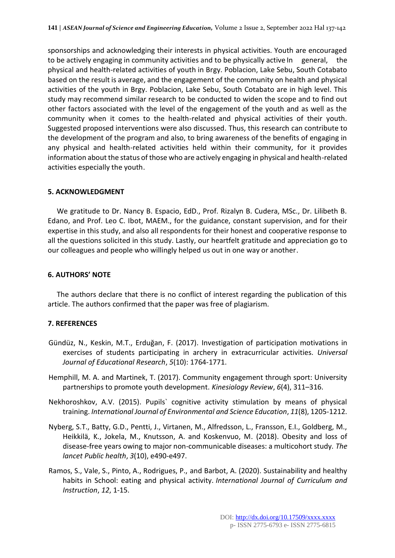sponsorships and acknowledging their interests in physical activities. Youth are encouraged to be actively engaging in community activities and to be physically active In general, the physical and health-related activities of youth in Brgy. Poblacion, Lake Sebu, South Cotabato based on the result is average, and the engagement of the community on health and physical activities of the youth in Brgy. Poblacion, Lake Sebu, South Cotabato are in high level. This study may recommend similar research to be conducted to widen the scope and to find out other factors associated with the level of the engagement of the youth and as well as the community when it comes to the health-related and physical activities of their youth. Suggested proposed interventions were also discussed. Thus, this research can contribute to the development of the program and also, to bring awareness of the benefits of engaging in any physical and health-related activities held within their community, for it provides information about the status of those who are actively engaging in physical and health-related activities especially the youth.

## **5. ACKNOWLEDGMENT**

We gratitude to Dr. Nancy B. Espacio, EdD., Prof. Rizalyn B. Cudera, MSc., Dr. Lilibeth B. Edano, and Prof. Leo C. Ibot, MAEM., for the guidance, constant supervision, and for their expertise in this study, and also all respondents for their honest and cooperative response to all the questions solicited in this study. Lastly, our heartfelt gratitude and appreciation go to our colleagues and people who willingly helped us out in one way or another.

## **6. AUTHORS' NOTE**

The authors declare that there is no conflict of interest regarding the publication of this article. The authors confirmed that the paper was free of plagiarism.

# **7. REFERENCES**

- Gündüz, N., Keskin, M.T., Erduğan, F. (2017). Investigation of participation motivations in exercises of students participating in archery in extracurricular activities. *Universal Journal of Educational Research*, *5*(10): 1764-1771.
- Hemphill, M. A. and Martinek, T. (2017). Community engagement through sport: University partnerships to promote youth development. *Kinesiology Review*, *6*(4), 311–316.
- Nekhoroshkov, A.V. (2015). Pupils` cognitive activity stimulation by means of physical training. *International Journal of Environmental and Science Education*, *11*(8), 1205-1212.
- Nyberg, S.T., Batty, G.D., Pentti, J., Virtanen, M., Alfredsson, L., Fransson, E.I., Goldberg, M., Heikkilä, K., Jokela, M., Knutsson, A. and Koskenvuo, M. (2018). Obesity and loss of disease-free years owing to major non-communicable diseases: a multicohort study. *The lancet Public health*, *3*(10), e490-e497.
- Ramos, S., Vale, S., Pinto, A., Rodrigues, P., and Barbot, A. (2020). Sustainability and healthy habits in School: eating and physical activity. *International Journal of Curriculum and Instruction*, *12*, 1-15.